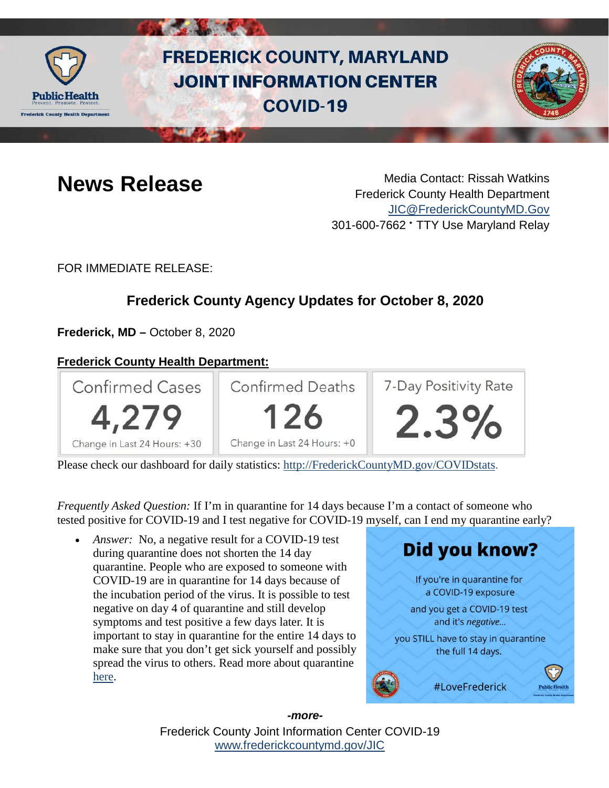

# **FREDERICK COUNTY, MARYLAND JOINT INFORMATION CENTER COVID-19**



**News Release** Media Contact: Rissah Watkins Frederick County Health Department [JIC@FrederickCountyMD.Gov](mailto:JIC@FrederickCountyMD.Gov) 301-600-7662 • TTY Use Maryland Relay

FOR IMMEDIATE RELEASE:

## **Frederick County Agency Updates for October 8, 2020**

**Frederick, MD –** October 8, 2020

### **Frederick County Health Department:**



Please check our dashboard for daily statistics: [http://FrederickCountyMD.gov/COVIDstats.](http://frederickcountymd.gov/COVIDstats)

*Frequently Asked Question:* If I'm in quarantine for 14 days because I'm a contact of someone who tested positive for COVID-19 and I test negative for COVID-19 myself, can I end my quarantine early?

• *Answer:* No, a negative result for a COVID-19 test during quarantine does not shorten the 14 day quarantine. People who are exposed to someone with COVID-19 are in quarantine for 14 days because of the incubation period of the virus. It is possible to test negative on day 4 of quarantine and still develop symptoms and test positive a few days later. It is important to stay in quarantine for the entire 14 days to make sure that you don't get sick yourself and possibly spread the virus to others. Read more about quarantine [here.](https://www.cdc.gov/coronavirus/2019-ncov/if-you-are-sick/quarantine.html)



Frederick County Joint Information Center COVID-19 [www.frederickcountymd.gov/JIC](https://frederickcountymd.gov/JIC) *-more-*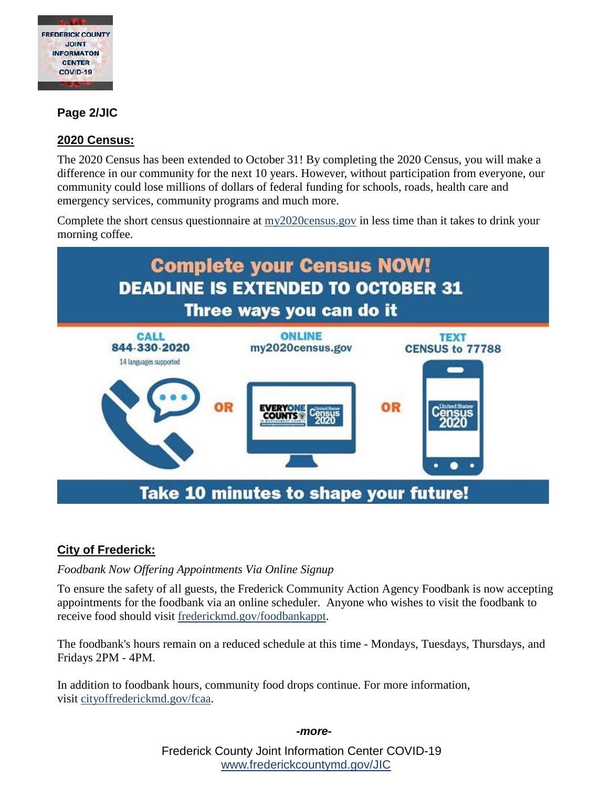

#### **Page 2/JIC**

#### **2020 Census:**

The 2020 Census has been extended to October 31! By completing the 2020 Census, you will make a difference in our community for the next 10 years. However, without participation from everyone, our community could lose millions of dollars of federal funding for schools, roads, health care and emergency services, community programs and much more.

Complete the short census questionnaire at [my2020census.gov](http://my2020census.gov/?fbclid=IwAR1qjV84Efgi-G0SiehUgKFOTVpV8lzGRT9q0W4ts9PjJoChwOJkjfeqkd8) in less time than it takes to drink your morning coffee.



#### **City of Frederick:**

#### *Foodbank Now Offering Appointments Via Online Signup*

To ensure the safety of all guests, the Frederick Community Action Agency Foodbank is now accepting appointments for the foodbank via an online scheduler. Anyone who wishes to visit the foodbank to receive food should visit [frederickmd.gov/foodbankappt.](https://frederickmd.gov/foodbankappt)

The foodbank's hours remain on a reduced schedule at this time - Mondays, Tuesdays, Thursdays, and Fridays 2PM - 4PM.

In addition to foodbank hours, community food drops continue. For more information, visit [cityoffrederickmd.gov/fcaa.](https://cityoffrederickmd.gov/fcaa)

*-more-*

Frederick County Joint Information Center COVID-19 [www.frederickcountymd.gov/JIC](https://frederickcountymd.gov/JIC)